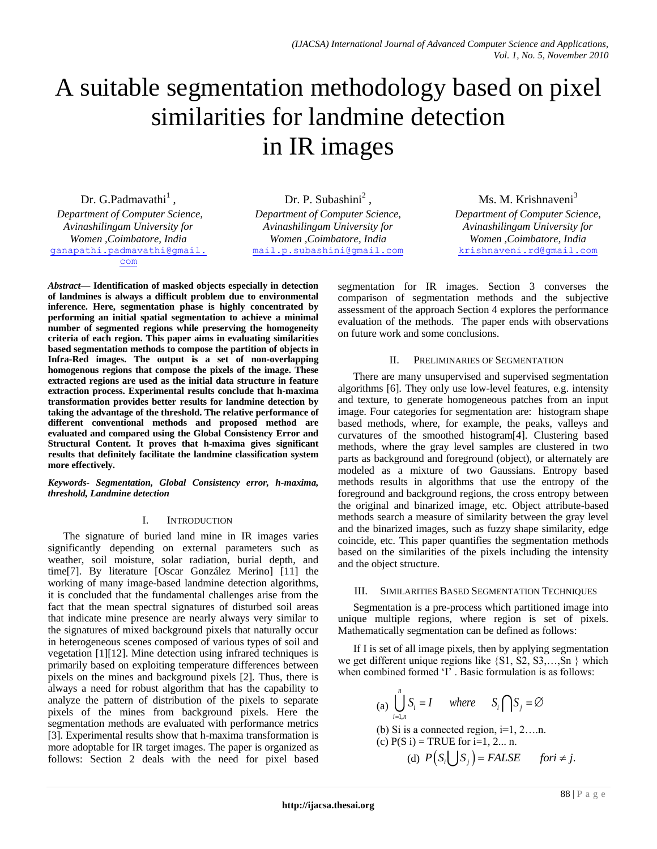# A suitable segmentation methodology based on pixel similarities for landmine detection in IR images

Dr. G.Padmavathi<sup>1</sup>,

*Department of Computer Science, Avinashilingam University for Women ,Coimbatore, India* [ganapathi.padmavathi@gmail.](mailto:ganapathi.padmavathi@gmail.com) [com](mailto:ganapathi.padmavathi@gmail.com)

Dr. P. Subashini<sup>2</sup>, *Department of Computer Science, Avinashilingam University for Women ,Coimbatore, India* [mail.p.subashini@gmail.com](mailto:mail.p.subashini@gmail.com)

Ms. M. Krishnaveni<sup>3</sup>

*Department of Computer Science, Avinashilingam University for Women ,Coimbatore, India* [krishnaveni.rd@gmail.com](mailto:krishnaveni.rd@gmail.com)

*Abstract***— Identification of masked objects especially in detection of landmines is always a difficult problem due to environmental inference. Here, segmentation phase is highly concentrated by performing an initial spatial segmentation to achieve a minimal number of segmented regions while preserving the homogeneity criteria of each region. This paper aims in evaluating similarities based segmentation methods to compose the partition of objects in Infra-Red images. The output is a set of non-overlapping homogenous regions that compose the pixels of the image. These extracted regions are used as the initial data structure in feature extraction process. Experimental results conclude that h-maxima transformation provides better results for landmine detection by taking the advantage of the threshold. The relative performance of different conventional methods and proposed method are evaluated and compared using the Global Consistency Error and Structural Content. It proves that h-maxima gives significant results that definitely facilitate the landmine classification system more effectively.**

*Keywords- Segmentation, Global Consistency error, h-maxima, threshold, Landmine detection*

## I. INTRODUCTION

The signature of buried land mine in IR images varies significantly depending on external parameters such as weather, soil moisture, solar radiation, burial depth, and time[7]. By literature [Oscar González Merino] [11] the working of many image-based landmine detection algorithms, it is concluded that the fundamental challenges arise from the fact that the mean spectral signatures of disturbed soil areas that indicate mine presence are nearly always very similar to the signatures of mixed background pixels that naturally occur in heterogeneous scenes composed of various types of soil and vegetation [1][12]. Mine detection using infrared techniques is primarily based on exploiting temperature differences between pixels on the mines and background pixels [2]. Thus, there is always a need for robust algorithm that has the capability to analyze the pattern of distribution of the pixels to separate pixels of the mines from background pixels. Here the segmentation methods are evaluated with performance metrics [3]. Experimental results show that h-maxima transformation is more adoptable for IR target images. The paper is organized as follows: Section 2 deals with the need for pixel based segmentation for IR images. Section 3 converses the comparison of segmentation methods and the subjective assessment of the approach Section 4 explores the performance evaluation of the methods. The paper ends with observations on future work and some conclusions.

# II. PRELIMINARIES OF SEGMENTATION

There are many unsupervised and supervised segmentation algorithms [6]. They only use low-level features, e.g. intensity and texture, to generate homogeneous patches from an input image. Four categories for segmentation are: histogram shape based methods, where, for example, the peaks, valleys and curvatures of the smoothed histogram[4]. Clustering based methods, where the gray level samples are clustered in two parts as background and foreground (object), or alternately are modeled as a mixture of two Gaussians. Entropy based methods results in algorithms that use the entropy of the foreground and background regions, the cross entropy between the original and binarized image, etc. Object attribute-based methods search a measure of similarity between the gray level and the binarized images, such as fuzzy shape similarity, edge coincide, etc. This paper quantifies the segmentation methods based on the similarities of the pixels including the intensity and the object structure.

## III. SIMILARITIES BASED SEGMENTATION TECHNIQUES

Segmentation is a pre-process which partitioned image into unique multiple regions, where region is set of pixels. Mathematically segmentation can be defined as follows:

If I is set of all image pixels, then by applying segmentation we get different unique regions like  $\{S1, S2, S3, \ldots, Sn\}$  which when combined formed 'I'. Basic formulation is as follows:

(a) 
$$
\bigcup_{i=1,n}^{n} S_i = I
$$
 where  $S_i \cap S_j = \emptyset$   
\n(b) Si is a connected region, i=1, 2...n.  
\n(c) P(S i) = TRUE for i=1, 2...n.  
\n(d)  $P(S_i \cup S_j) = FALSE$  for  $i \neq j$ .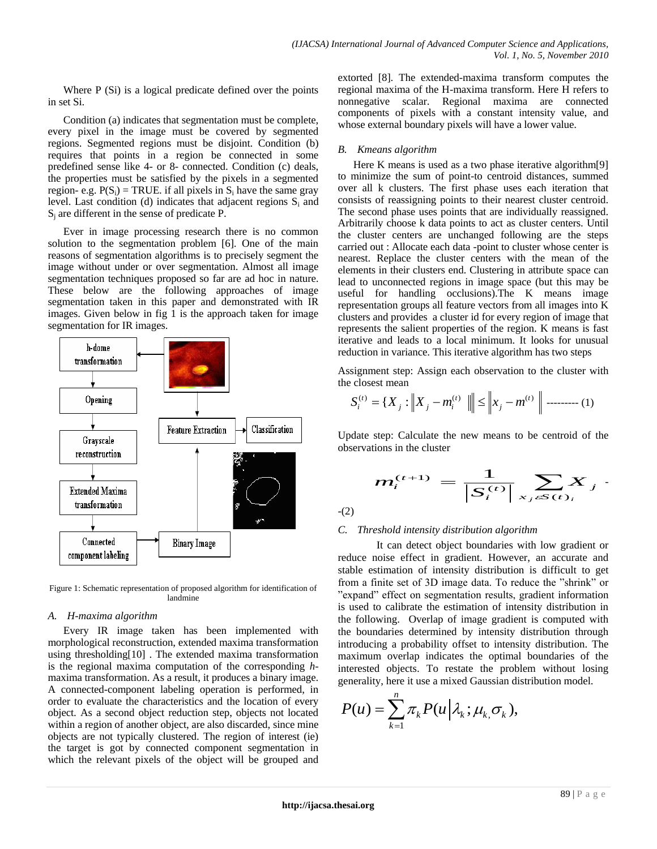Where P (Si) is a logical predicate defined over the points in set Si.

Condition (a) indicates that segmentation must be complete, every pixel in the image must be covered by segmented regions. Segmented regions must be disjoint. Condition (b) requires that points in a region be connected in some predefined sense like 4- or 8- connected. Condition (c) deals, the properties must be satisfied by the pixels in a segmented region- e.g.  $P(S_i) = TRUE$ . if all pixels in  $S_i$  have the same gray level. Last condition (d) indicates that adjacent regions  $S_i$  and  $S_i$  are different in the sense of predicate P.

Ever in image processing research there is no common solution to the segmentation problem [6]. One of the main reasons of segmentation algorithms is to precisely segment the image without under or over segmentation. Almost all image segmentation techniques proposed so far are ad hoc in nature. These below are the following approaches of image segmentation taken in this paper and demonstrated with IR images. Given below in fig 1 is the approach taken for image segmentation for IR images.



Figure 1: Schematic representation of proposed algorithm for identification of landmine

### *A. H-maxima algorithm*

Every IR image taken has been implemented with morphological reconstruction, extended maxima transformation using thresholding[10] . The extended maxima transformation is the regional maxima computation of the corresponding *h*maxima transformation. As a result, it produces a binary image. A connected-component labeling operation is performed, in order to evaluate the characteristics and the location of every object. As a second object reduction step, objects not located within a region of another object, are also discarded, since mine objects are not typically clustered. The region of interest (ie) the target is got by connected component segmentation in which the relevant pixels of the object will be grouped and extorted [8]. The extended-maxima transform computes the regional maxima of the H-maxima transform. Here H refers to nonnegative scalar. Regional maxima are connected components of pixels with a constant intensity value, and whose external boundary pixels will have a lower value.

## *B. Kmeans algorithm*

Here K means is used as a two phase iterative algorithm[9] to minimize the sum of point-to centroid distances, summed over all k clusters. The first phase uses each iteration that consists of reassigning points to their nearest cluster centroid. The second phase uses points that are individually reassigned. Arbitrarily choose k data points to act as cluster centers. Until the cluster centers are unchanged following are the steps carried out : Allocate each data -point to cluster whose center is nearest. Replace the cluster centers with the mean of the elements in their clusters end. Clustering in attribute space can lead to unconnected regions in image space (but this may be useful for handling occlusions).The K means image representation groups all feature vectors from all images into K clusters and provides a cluster id for every region of image that represents the salient properties of the region. K means is fast iterative and leads to a local minimum. It looks for unusual reduction in variance. This iterative algorithm has two steps

Assignment step: Assign each observation to the cluster with the closest mean

$$
S_i^{(t)} = \{X_j : \left\| X_j - m_i^{(t)} \right\| \le \left\| x_j - m_i^{(t)} \right\| \dots \dots \dots \dots (1)
$$

Update step: Calculate the new means to be centroid of the observations in the cluster

$$
m_i^{(t+1)} = \frac{1}{|S_i^{(t)}|} \sum_{x_j \in S(t)_i} X_j
$$

-(2)

## *C. Threshold intensity distribution algorithm*

It can detect object boundaries with low gradient or reduce noise effect in gradient. However, an accurate and stable estimation of intensity distribution is difficult to get from a finite set of 3D image data. To reduce the "shrink" or "expand" effect on segmentation results, gradient information is used to calibrate the estimation of intensity distribution in the following. Overlap of image gradient is computed with the boundaries determined by intensity distribution through introducing a probability offset to intensity distribution. The maximum overlap indicates the optimal boundaries of the interested objects. To restate the problem without losing generality, here it use a mixed Gaussian distribution model.

$$
P(u) = \sum_{k=1}^n \pi_k P(u | \lambda_k; \mu_k, \sigma_k),
$$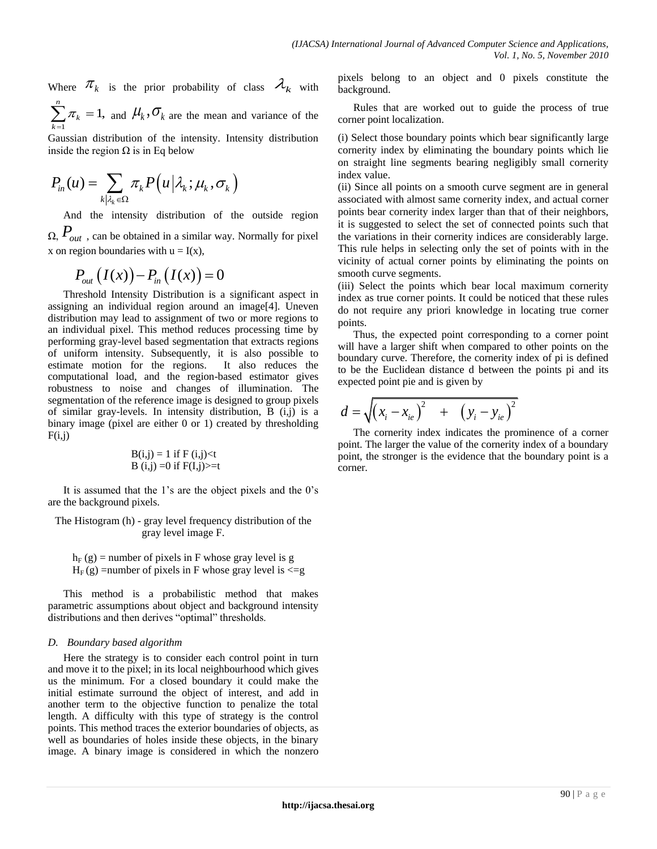Where  $\pi_k$  is the prior probability of class  $\mathcal{A}_k$  with  $\sum_{k=1}^{n} \pi_k = 1$ *k* π  $\sum_{k=1}^{n} \pi_k = 1$ , and  $\mu_k$ ,  $\sigma_k$  are the mean and variance of the

1 *k* Gaussian distribution of the intensity. Intensity distribution inside the region  $\Omega$  is in Eq below

$$
P_{in}(u) = \sum_{k|\lambda_k \in \Omega} \pi_k P(u|\lambda_k; \mu_k, \sigma_k)
$$

And the intensity distribution of the outside region  $\Omega$ ,  $P_{out}$ , can be obtained in a similar way. Normally for pixel x on region boundaries with  $u = I(x)$ ,

$$
P_{out}(I(x)) - P_{in}(I(x)) = 0
$$

Threshold Intensity Distribution is a significant aspect in assigning an individual region around an image[4]. Uneven distribution may lead to assignment of two or more regions to an individual pixel. This method reduces processing time by performing gray-level based segmentation that extracts regions of uniform intensity. Subsequently, it is also possible to estimate motion for the regions. It also reduces the computational load, and the region-based estimator gives robustness to noise and changes of illumination. The segmentation of the reference image is designed to group pixels of similar gray-levels. In intensity distribution, B (i,j) is a binary image (pixel are either 0 or 1) created by thresholding  $F(i,j)$ 

$$
B(i,j) = 1 \text{ if } F(i,j) < t B(i,j) = 0 \text{ if } F(I,j) > = t
$$

It is assumed that the 1's are the object pixels and the 0's are the background pixels.

The Histogram (h) - gray level frequency distribution of the gray level image F.

 $h_F$  (g) = number of pixels in F whose gray level is g  $H_F(g)$  =number of pixels in F whose gray level is  $\leq g$ 

This method is a probabilistic method that makes parametric assumptions about object and background intensity distributions and then derives "optimal" thresholds.

### *D. Boundary based algorithm*

Here the strategy is to consider each control point in turn and move it to the pixel; in its local neighbourhood which gives us the minimum. For a closed boundary it could make the initial estimate surround the object of interest, and add in another term to the objective function to penalize the total length. A difficulty with this type of strategy is the control points. This method traces the exterior boundaries of objects, as well as boundaries of holes inside these objects, in the binary image. A binary image is considered in which the nonzero pixels belong to an object and 0 pixels constitute the background.

Rules that are worked out to guide the process of true corner point localization.

(i) Select those boundary points which bear significantly large cornerity index by eliminating the boundary points which lie on straight line segments bearing negligibly small cornerity index value.

(ii) Since all points on a smooth curve segment are in general associated with almost same cornerity index, and actual corner points bear cornerity index larger than that of their neighbors, it is suggested to select the set of connected points such that the variations in their cornerity indices are considerably large. This rule helps in selecting only the set of points with in the vicinity of actual corner points by eliminating the points on smooth curve segments.

(iii) Select the points which bear local maximum cornerity index as true corner points. It could be noticed that these rules do not require any priori knowledge in locating true corner points.

Thus, the expected point corresponding to a corner point will have a larger shift when compared to other points on the boundary curve. Therefore, the cornerity index of pi is defined to be the Euclidean distance d between the points pi and its expected point pie and is given by

$$
d = \sqrt{(x_i - x_{ie})^2 + (y_i - y_{ie})^2}
$$

The cornerity index indicates the prominence of a corner point. The larger the value of the cornerity index of a boundary point, the stronger is the evidence that the boundary point is a corner.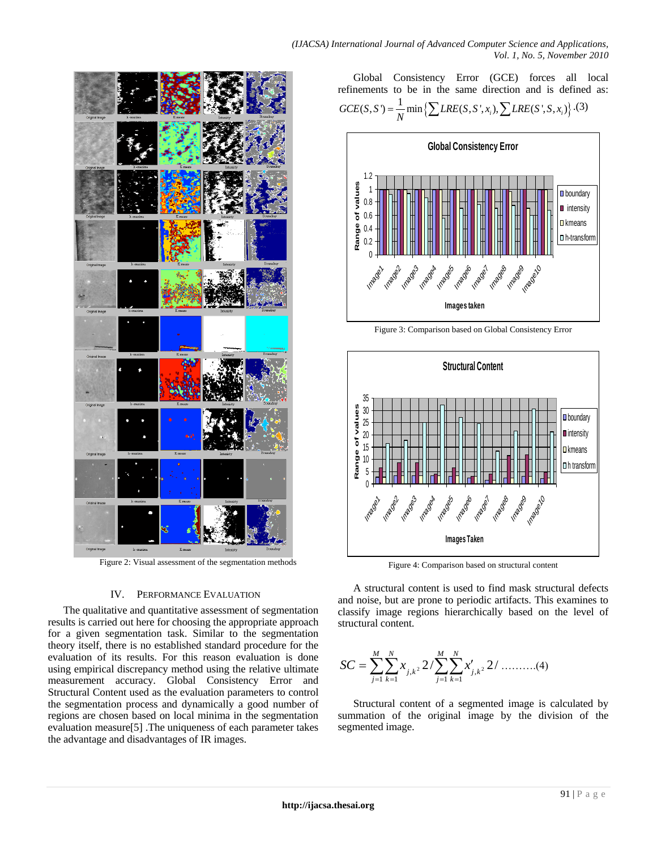*(IJACSA) International Journal of Advanced Computer Science and Applications, Vol. 1, No. 5, November 2010*



Figure 2: Visual assessment of the segmentation methods

#### IV. PERFORMANCE EVALUATION

The qualitative and quantitative assessment of segmentation results is carried out here for choosing the appropriate approach for a given segmentation task. Similar to the segmentation theory itself, there is no established standard procedure for the evaluation of its results. For this reason evaluation is done using empirical discrepancy method using the relative ultimate measurement accuracy. Global Consistency Error and Structural Content used as the evaluation parameters to control the segmentation process and dynamically a good number of regions are chosen based on local minima in the segmentation evaluation measure[5] .The uniqueness of each parameter takes the advantage and disadvantages of IR images.

Global Consistency Error (GCE) forces all local refinements to be in the same direction and is defined as:  $\frac{1}{N}$  min { $\sum LRE(S, S', x_i)$ ,  $\sum LRE(S', S, x_i)$ }. Global Consistency Error (GCE) forces all<br>refinements to be in the same direction and is defined<br> $GCE(S, S') = \frac{1}{N} \min \{ \sum LRE(S, S', x_i), \sum LRE(S', S, x_i) \}$ .(3)



Figure 3: Comparison based on Global Consistency Error



Figure 4: Comparison based on structural content

A structural content is used to find mask structural defects and noise, but are prone to periodic artifacts. This examines to classify image regions hierarchically based on the level of structural content.

$$
SC = \sum_{j=1}^{M} \sum_{k=1}^{N} x_{j,k^2} 2 / \sum_{j=1}^{M} \sum_{k=1}^{N} x'_{j,k^2} 2 / \dots \dots \dots (4)
$$

Structural content of a segmented image is calculated by summation of the original image by the division of the segmented image.